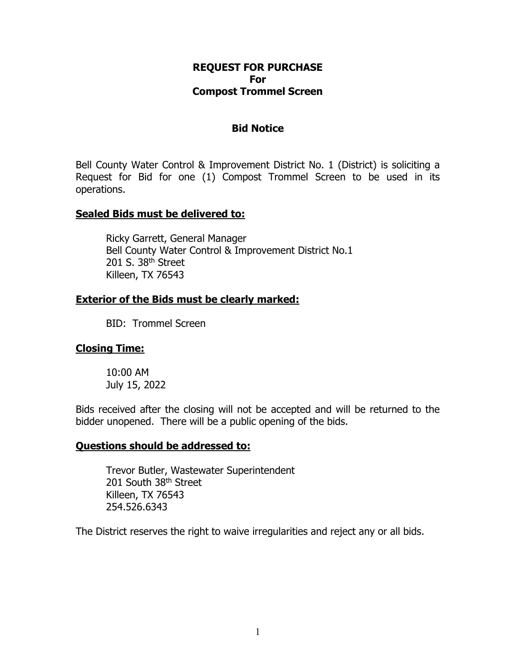### **REQUEST FOR PURCHASE For Compost Trommel Screen**

#### **Bid Notice**

Bell County Water Control & Improvement District No. 1 (District) is soliciting a Request for Bid for one (1) Compost Trommel Screen to be used in its operations.

### **Sealed Bids must be delivered to:**

Ricky Garrett, General Manager Bell County Water Control & Improvement District No.1 201 S. 38<sup>th</sup> Street Killeen, TX 76543

### **Exterior of the Bids must be clearly marked:**

BID: Trommel Screen

## **Closing Time:**

10:00 AM July 15, 2022

Bids received after the closing will not be accepted and will be returned to the bidder unopened. There will be a public opening of the bids.

#### **Questions should be addressed to:**

Trevor Butler, Wastewater Superintendent 201 South 38<sup>th</sup> Street Killeen, TX 76543 254.526.6343

The District reserves the right to waive irregularities and reject any or all bids.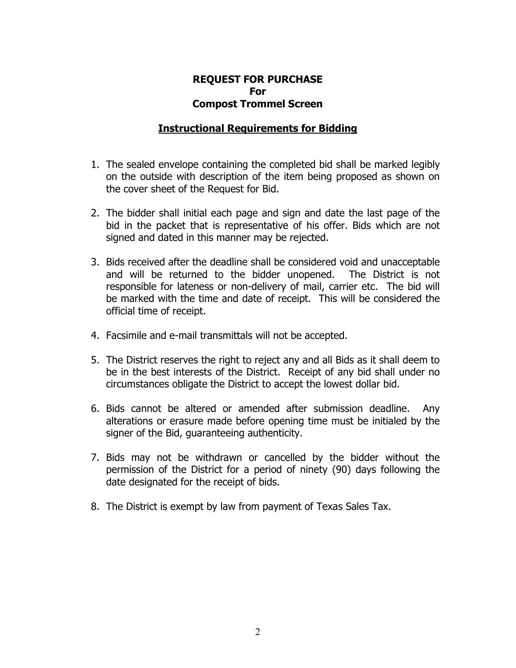### **REQUEST FOR PURCHASE For Compost Trommel Screen**

### **Instructional Requirements for Bidding**

- 1. The sealed envelope containing the completed bid shall be marked legibly on the outside with description of the item being proposed as shown on the cover sheet of the Request for Bid.
- 2. The bidder shall initial each page and sign and date the last page of the bid in the packet that is representative of his offer. Bids which are not signed and dated in this manner may be rejected.
- 3. Bids received after the deadline shall be considered void and unacceptable and will be returned to the bidder unopened. The District is not responsible for lateness or non-delivery of mail, carrier etc. The bid will be marked with the time and date of receipt. This will be considered the official time of receipt.
- 4. Facsimile and e-mail transmittals will not be accepted.
- 5. The District reserves the right to reject any and all Bids as it shall deem to be in the best interests of the District. Receipt of any bid shall under no circumstances obligate the District to accept the lowest dollar bid.
- 6. Bids cannot be altered or amended after submission deadline. Any alterations or erasure made before opening time must be initialed by the signer of the Bid, guaranteeing authenticity.
- 7. Bids may not be withdrawn or cancelled by the bidder without the permission of the District for a period of ninety (90) days following the date designated for the receipt of bids.
- 8. The District is exempt by law from payment of Texas Sales Tax.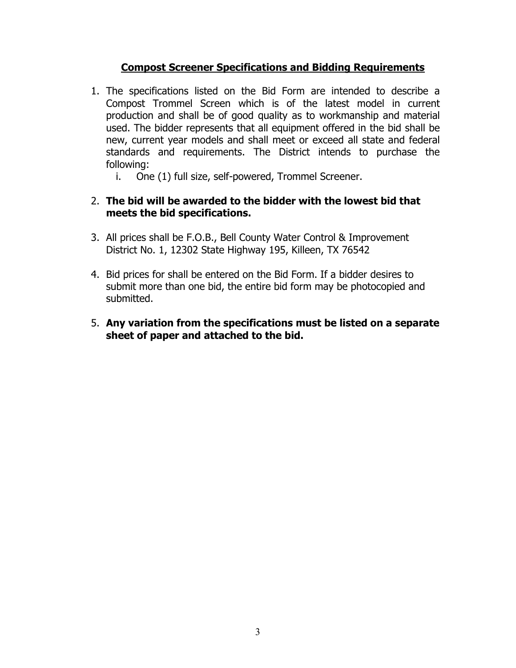# **Compost Screener Specifications and Bidding Requirements**

- 1. The specifications listed on the Bid Form are intended to describe a Compost Trommel Screen which is of the latest model in current production and shall be of good quality as to workmanship and material used. The bidder represents that all equipment offered in the bid shall be new, current year models and shall meet or exceed all state and federal standards and requirements. The District intends to purchase the following:
	- i. One (1) full size, self-powered, Trommel Screener.

# 2. **The bid will be awarded to the bidder with the lowest bid that meets the bid specifications.**

- 3. All prices shall be F.O.B., Bell County Water Control & Improvement District No. 1, 12302 State Highway 195, Killeen, TX 76542
- 4. Bid prices for shall be entered on the Bid Form. If a bidder desires to submit more than one bid, the entire bid form may be photocopied and submitted.
- 5. **Any variation from the specifications must be listed on a separate sheet of paper and attached to the bid.**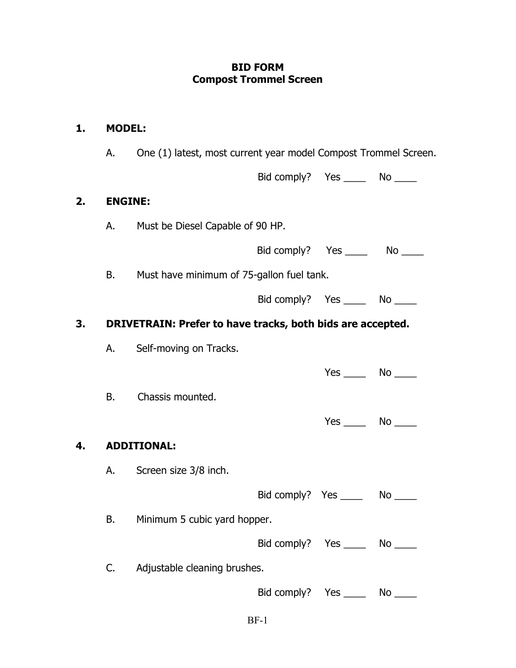# **BID FORM Compost Trommel Screen**

| 1. | <b>MODEL:</b>  |                                                                 |                                    |                               |    |
|----|----------------|-----------------------------------------------------------------|------------------------------------|-------------------------------|----|
|    | А.             | One (1) latest, most current year model Compost Trommel Screen. |                                    |                               |    |
|    |                |                                                                 | Bid comply? Yes ________ No _____  |                               |    |
| 2. | <b>ENGINE:</b> |                                                                 |                                    |                               |    |
|    | A.             | Must be Diesel Capable of 90 HP.                                |                                    |                               |    |
|    |                |                                                                 | Bid comply? Yes ________ No _____  |                               |    |
|    | В.             | Must have minimum of 75-gallon fuel tank.                       |                                    |                               |    |
|    |                |                                                                 | Bid comply? Yes ________ No ______ |                               |    |
| 3. |                | DRIVETRAIN: Prefer to have tracks, both bids are accepted.      |                                    |                               |    |
|    |                | Self-moving on Tracks.                                          |                                    |                               |    |
|    |                |                                                                 |                                    | $Yes \_\_\_\_$ No $\_\_\_\_\$ |    |
|    | В.             | Chassis mounted.                                                |                                    |                               |    |
|    |                |                                                                 |                                    | $Yes$ No $\_\_$               |    |
| 4. |                | <b>ADDITIONAL:</b>                                              |                                    |                               |    |
|    |                | A. Screen size 3/8 inch.                                        |                                    |                               |    |
|    |                |                                                                 | Bid comply? Yes                    |                               | No |
|    | В.             | Minimum 5 cubic yard hopper.                                    |                                    |                               |    |
|    |                |                                                                 | Bid comply? Yes ________ No _____  |                               |    |
|    | C.             | Adjustable cleaning brushes.                                    |                                    |                               |    |
|    |                |                                                                 | Bid comply? Yes ________ No _____  |                               |    |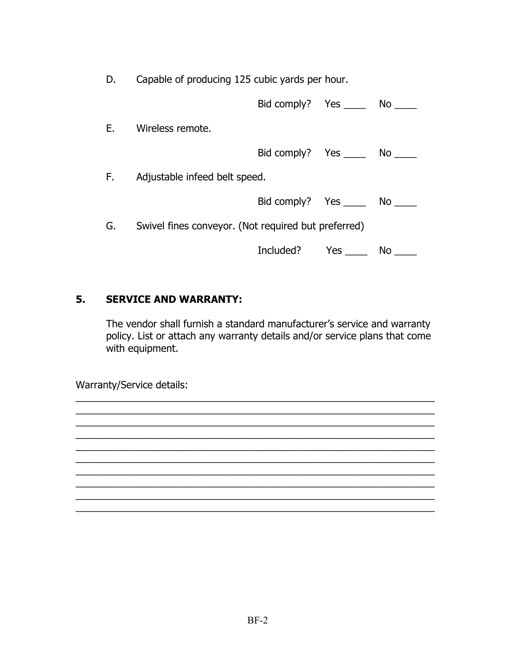D. Capable of producing 125 cubic yards per hour.

|    |                                                     | Bid comply? Yes _______ No      |     |     |
|----|-----------------------------------------------------|---------------------------------|-----|-----|
| Е. | Wireless remote.                                    |                                 |     |     |
|    |                                                     | Bid comply? Yes ______ No _____ |     |     |
| F. | Adjustable infeed belt speed.                       |                                 |     |     |
|    |                                                     | Bid comply? Yes _______ No      |     |     |
| G. | Swivel fines conveyor. (Not required but preferred) |                                 |     |     |
|    |                                                     | Included?                       | Yes | No. |

# **5. SERVICE AND WARRANTY:**

The vendor shall furnish a standard manufacturer's service and warranty policy. List or attach any warranty details and/or service plans that come with equipment.

\_\_\_\_\_\_\_\_\_\_\_\_\_\_\_\_\_\_\_\_\_\_\_\_\_\_\_\_\_\_\_\_\_\_\_\_\_\_\_\_\_\_\_\_\_\_\_\_\_\_\_\_\_\_\_\_\_\_\_\_\_\_\_\_\_ \_\_\_\_\_\_\_\_\_\_\_\_\_\_\_\_\_\_\_\_\_\_\_\_\_\_\_\_\_\_\_\_\_\_\_\_\_\_\_\_\_\_\_\_\_\_\_\_\_\_\_\_\_\_\_\_\_\_\_\_\_\_\_\_\_ \_\_\_\_\_\_\_\_\_\_\_\_\_\_\_\_\_\_\_\_\_\_\_\_\_\_\_\_\_\_\_\_\_\_\_\_\_\_\_\_\_\_\_\_\_\_\_\_\_\_\_\_\_\_\_\_\_\_\_\_\_\_\_\_\_ \_\_\_\_\_\_\_\_\_\_\_\_\_\_\_\_\_\_\_\_\_\_\_\_\_\_\_\_\_\_\_\_\_\_\_\_\_\_\_\_\_\_\_\_\_\_\_\_\_\_\_\_\_\_\_\_\_\_\_\_\_\_\_\_\_ \_\_\_\_\_\_\_\_\_\_\_\_\_\_\_\_\_\_\_\_\_\_\_\_\_\_\_\_\_\_\_\_\_\_\_\_\_\_\_\_\_\_\_\_\_\_\_\_\_\_\_\_\_\_\_\_\_\_\_\_\_\_\_\_\_ \_\_\_\_\_\_\_\_\_\_\_\_\_\_\_\_\_\_\_\_\_\_\_\_\_\_\_\_\_\_\_\_\_\_\_\_\_\_\_\_\_\_\_\_\_\_\_\_\_\_\_\_\_\_\_\_\_\_\_\_\_\_\_\_\_ \_\_\_\_\_\_\_\_\_\_\_\_\_\_\_\_\_\_\_\_\_\_\_\_\_\_\_\_\_\_\_\_\_\_\_\_\_\_\_\_\_\_\_\_\_\_\_\_\_\_\_\_\_\_\_\_\_\_\_\_\_\_\_\_\_ \_\_\_\_\_\_\_\_\_\_\_\_\_\_\_\_\_\_\_\_\_\_\_\_\_\_\_\_\_\_\_\_\_\_\_\_\_\_\_\_\_\_\_\_\_\_\_\_\_\_\_\_\_\_\_\_\_\_\_\_\_\_\_\_\_ \_\_\_\_\_\_\_\_\_\_\_\_\_\_\_\_\_\_\_\_\_\_\_\_\_\_\_\_\_\_\_\_\_\_\_\_\_\_\_\_\_\_\_\_\_\_\_\_\_\_\_\_\_\_\_\_\_\_\_\_\_\_\_\_\_ \_\_\_\_\_\_\_\_\_\_\_\_\_\_\_\_\_\_\_\_\_\_\_\_\_\_\_\_\_\_\_\_\_\_\_\_\_\_\_\_\_\_\_\_\_\_\_\_\_\_\_\_\_\_\_\_\_\_\_\_\_\_\_\_\_

Warranty/Service details: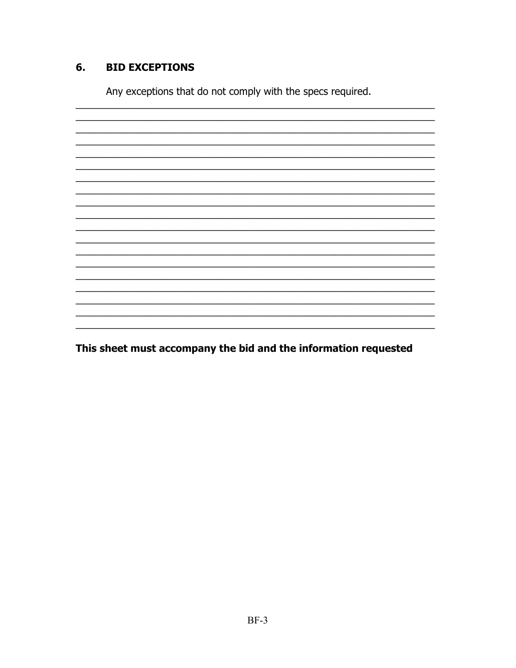#### **BID EXCEPTIONS** 6.

Any exceptions that do not comply with the specs required.

<u> 1989 - Johann John Harry Barbara, margaret amerikan basar dan berasal di basa dan basar dan basar dalam basa</u>

This sheet must accompany the bid and the information requested